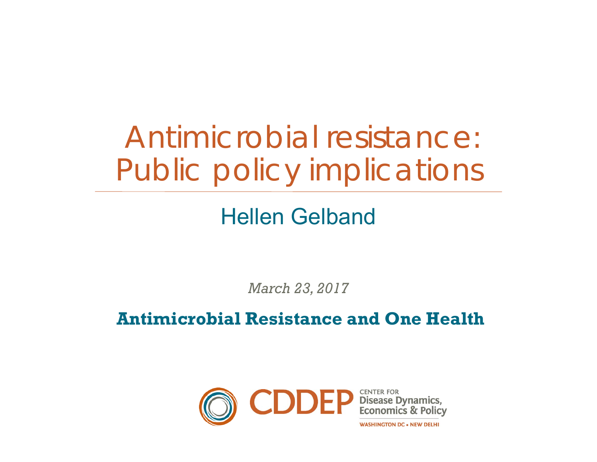# Antimicrobial resistance: Public policy implications

### Hellen Gelband

*March 23, 2017*

### **Antimicrobial Resistance and One Health**

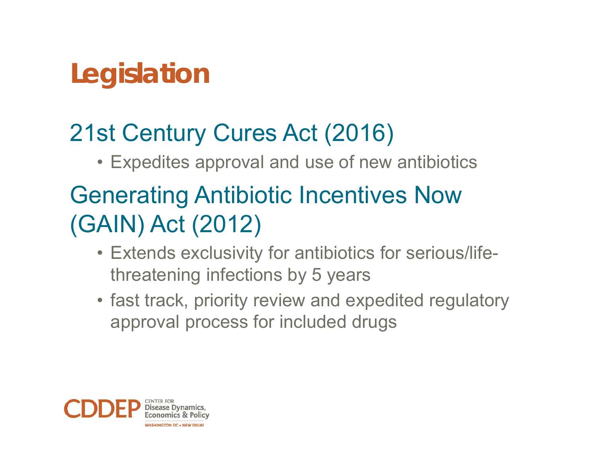# **Legislation**

### 21st Century Cures Act (2016)

• Expedites approval and use of new antibiotics

### Generating Antibiotic Incentives Now (GAIN) Act (2012)

- Extends exclusivity for antibiotics for serious/lifethreatening infections by 5 years
- fast track, priority review and expedited regulatory approval process for included drugs

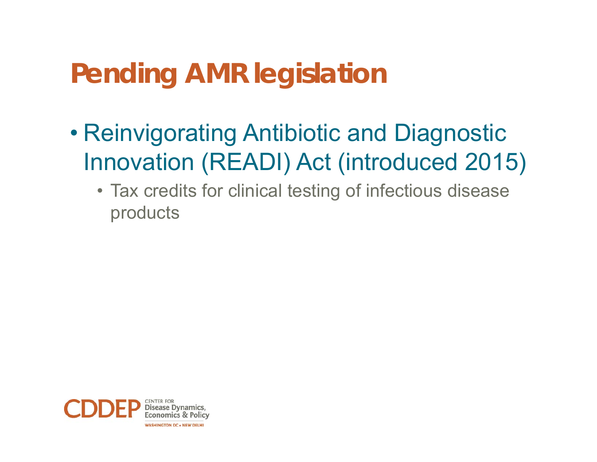## **Pending AMR legislation**

- Reinvigorating Antibiotic and Diagnostic Innovation (READI) Act (introduced 2015)
	- Tax credits for clinical testing of infectious disease products

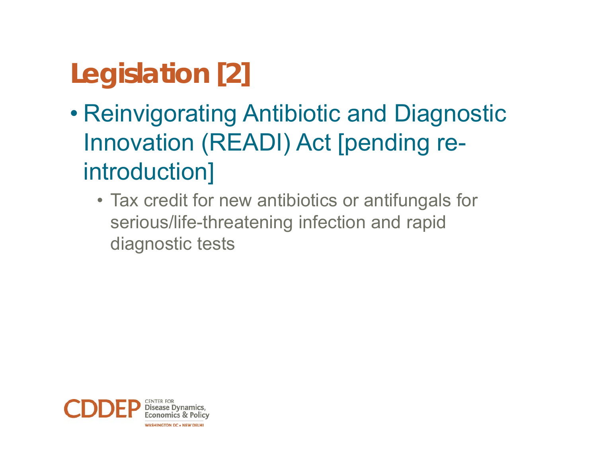# **Legislation [2]**

- Reinvigorating Antibiotic and Diagnostic Innovation (READI) Act [pending reintroduction]
	- Tax credit for new antibiotics or antifungals for serious/life-threatening infection and rapid diagnostic tests

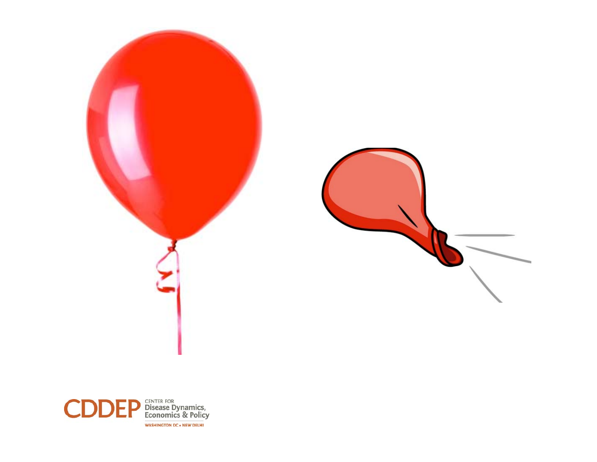

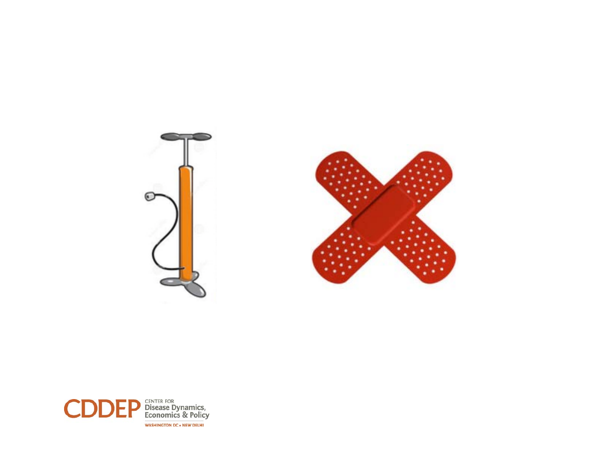



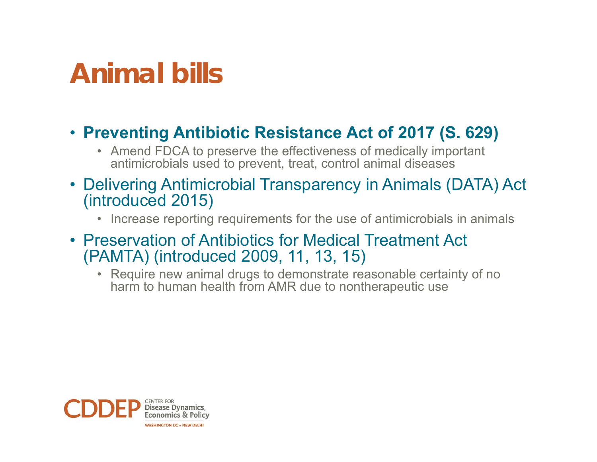### **Animal bills**

#### • **Preventing Antibiotic Resistance Act of 2017 (S. 629)**

- Amend FDCA to preserve the effectiveness of medically important antimicrobials used to prevent, treat, control animal diseases
- Delivering Antimicrobial Transparency in Animals (DATA) Act (introduced 2015)
	- Increase reporting requirements for the use of antimicrobials in animals
- Preservation of Antibiotics for Medical Treatment Act (PAMTA) (introduced 2009, 11, 13, 15)
	- Require new animal drugs to demonstrate reasonable certainty of no harm to human health from AMR due to nontherapeutic use

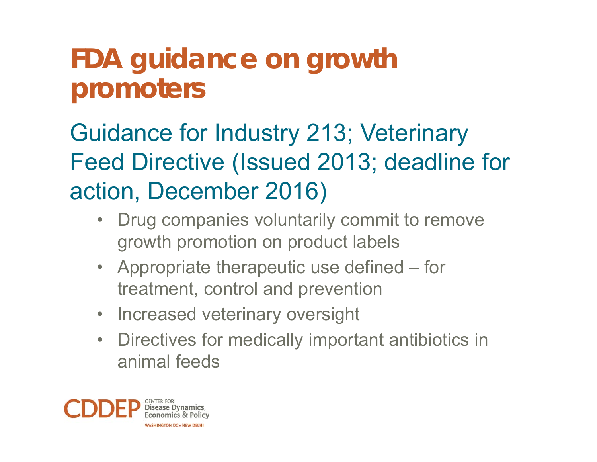### **FDA guidance on growth promoters**

Guidance for Industry 213; Veterinary Feed Directive (Issued 2013; deadline for action, December 2016)

- Drug companies voluntarily commit to remove growth promotion on product labels
- Appropriate therapeutic use defined for treatment, control and prevention
- $\bullet$ Increased veterinary oversight
- $\bullet$  Directives for medically important antibiotics in animal feeds

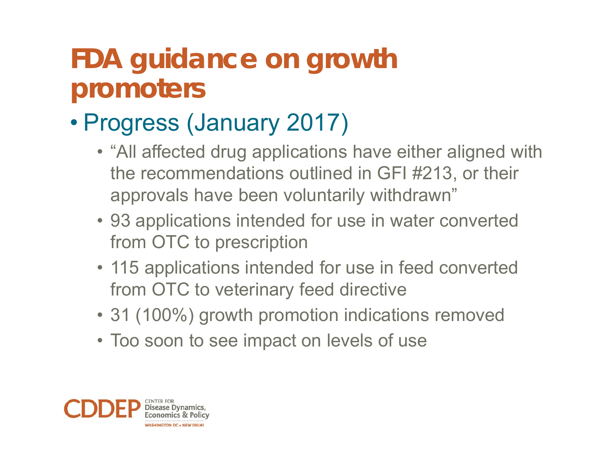### **FDA guidance on growth promoters**

#### •Progress (January 2017)

- "All affected drug applications have either aligned with the recommendations outlined in GFI #213, or their approvals have been voluntarily withdrawn"
- 93 applications intended for use in water converted from OTC to prescription
- 115 applications intended for use in feed converted from OTC to veterinary feed directive
- 31 (100%) growth promotion indications removed
- Too soon to see impact on levels of use

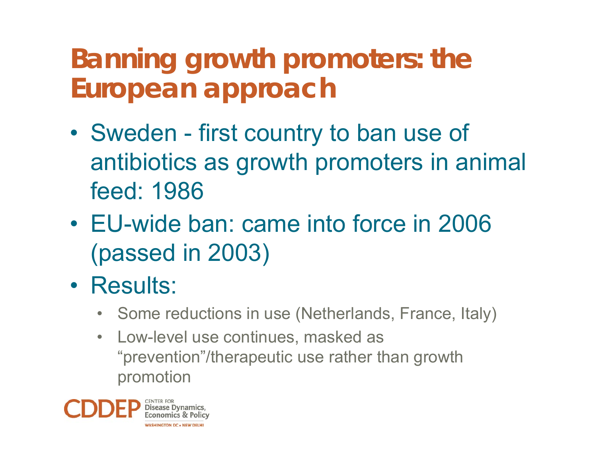### **Banning growth promoters: the European approach**

- • Sweden - first country to ban use of antibiotics as growth promoters in animal feed: 1986
- • EU-wide ban: came into force in 2006 (passed in 2003)
- Results:
	- •Some reductions in use (Netherlands, France, Italy)
	- $\bullet$  Low-level use continues, masked as "prevention"/therapeutic use rather than growth promotion

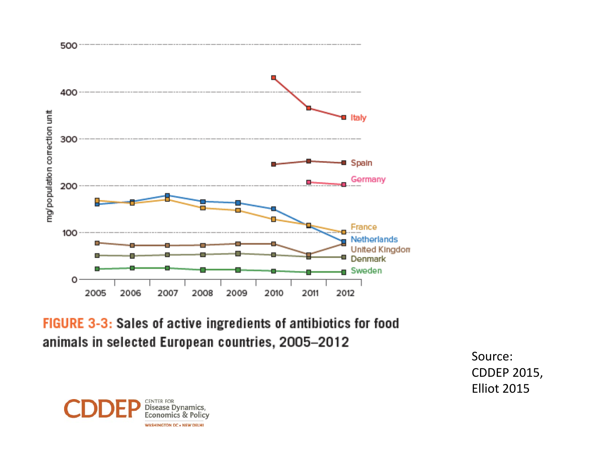

FIGURE 3-3: Sales of active ingredients of antibiotics for food animals in selected European countries, 2005-2012

Source: CDDEP 2015, Elliot 2015

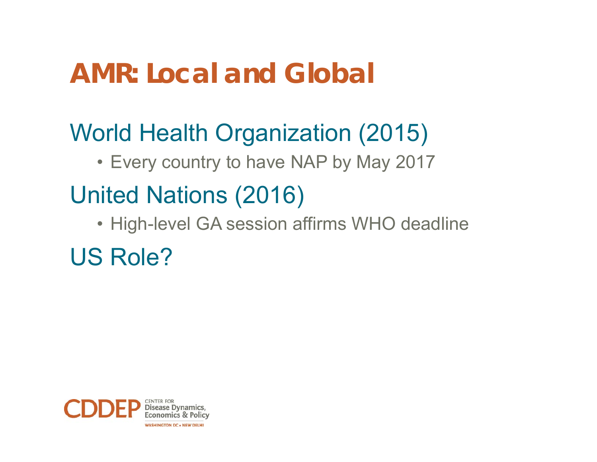### **AMR: Local and Global**

### World Health Organization (2015)

• Every country to have NAP by May 2017

### United Nations (2016)

• High-level GA session affirms WHO deadline

US Role?